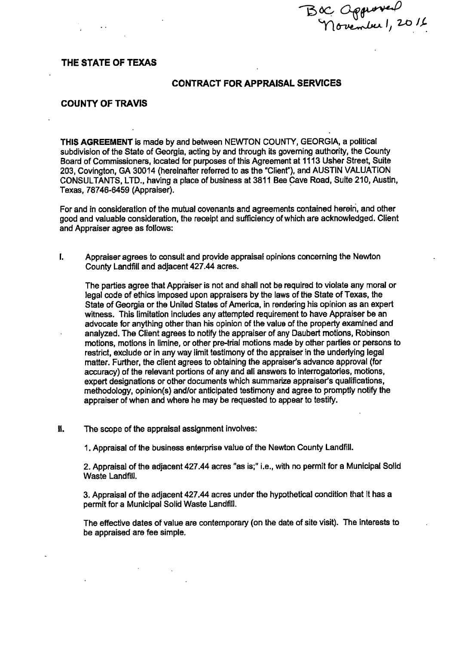BOC Opprover<br>Movember 1, 2016

# THE STATE OF TEXAS

## CONTRACT FOR APPRAISAL SERVICES

#### COUNTY OF TRAVIS

THIS AGREEMENT is made by and between NEWTON COUNTY, GEORGIA, a political subdivision of the State of Georgia, acting by and through its governing authority, the County Board of Commissioners, located for purposes of this Agreement at 9113 Usher Street, Suite 203, Covington, GA 30014 ( hereinafter referred to as the" Client"), and AUSTIN VALUATION CONSULTANTS, LTD., having a place of business at 3811 Bee Cave Road, Suite 210, Austin, Texas, 78746-6459 (Appraiser).

For and in consideration of the mutual covenants and agreements contained herein, and other good and valuable consideration, the receipt and sufficiency of which are acknowledged. Client and Appraiser agree as follows:

1. Appraiser agrees to consult and provide appraisal opinions concerning the Newton County Landfill and adjacent 427.44 acres.

The parties agree that Appraiser is not and shall not be required to violate any moral or legal code of ethics imposed upon appraisers by the laws of the State of Texas, the State of Georgia or the United States of America, in rendering his opinion as an expert witness. This limitation includes any attempted requirement to have Appraiser be an advocate for anything other than his opinion of the value of the property examined and analyzed. The Client agrees to notify the appraiser of any Daubert motions, Robinson motions, motions in limine, or other pre-trial motions made by other parties or persons to restrict, exclude or in any way limit testimony of the appraiser in the underlying legal matter. Further, the client agrees to obtaining the appraiser's advance approval (for accuracy) of the relevant portions of any and all answers to interrogatories, motions, expert designations or other documents which summarize appraiser's qualifications, methodology, opinion(s) and/or anticipated testimony and agree to promptly notify the appraiser of when and where he may be requested to appear to testify.

II. The scope of the appraisal assignment involves:

1. Appraisal of the business enterprise value of the Newton County Landfill.

2. Appraisal of the adjacent 427.44 acres "as is;" i. e., with no permit for a Municipal Solid Waste Landfill.

3. Appraisal of the adjacent 427.44 acres under the hypothetical condition that it has a permit for a Municipal Solid Waste Landfill.

The effective dates of value are contemporary( on the date of site visit). The interests to be appraised are fee simple.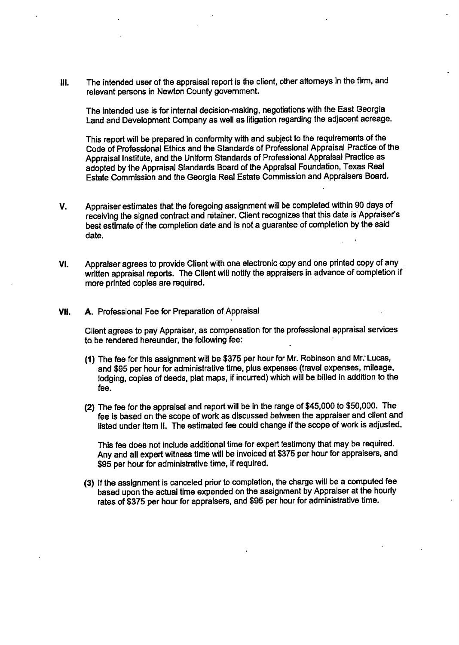III. The intended user of the appraisal report is the client, other attorneys in the firm, and relevant persons in Newton County government.

The intended use is for internal decision-making, negotiations with the East Georgia Land and Development Company as well as litigation regarding the adjacent acreage.

This report will be prepared in conformity with and subject to the requirements of the Code of Professional Ethics and the Standards of Professional Appraisal Practice of the Appraisal Institute, and the Uniform Standards of Professional Appraisal Practice as adopted by the Appraisal Standards Board of the Appraisal Foundation, Texas Real Estate Commission and the Georgia Real Estate Commission and Appraisers Board.

- V. Appraiser estimates that the foregoing assignment will be completed within 90 days of receiving the signed contract and retainer. Client recognizes that this date is Appraiser's best estimate of the completion date and is not a guarantee of completion by the said date.
- VI. Appraiser agrees to provide Client with one electronic copy and one printed copy of any written appraisal reports. The Client will notify the appraisers in advance of completion if more printed copies are required.
- VII. A. Professional Fee for Preparation of Appraisal

Client agrees to pay Appraiser, as compensation for the professional appraisal services to be rendered hereunder, the following fee:

- 1) The fee for this assignment will be\$ 375 per hour for Mr. Robinson and Mr: Lucas, and \$95 per hour for administrative time, plus expenses (travel expenses, mileage, lodging, copies of deeds, plat maps, if incurred) which will be billed in addition to the fee.
- (2) The fee for the appraisal and report will be in the range of \$45,000 to \$50,000. The fee is based on the scope of work as discussed between the appraiser and client and listed under Item 11. The estimated fee could change if the scope of work is adjusted.

This fee does not include additional time for expert testimony that may be required. Any and all expert witness time will be invoiced at \$375 per hour for appraisers, and 95 per hour for administrative time, if required.

3) If the assignment is canceled prior to completion, the charge will be a computed fee based upon the actual time expended on the assignment by Appraiser at the hourly rates of \$375 per hour for appraisers, and \$95 per hour for administrative time.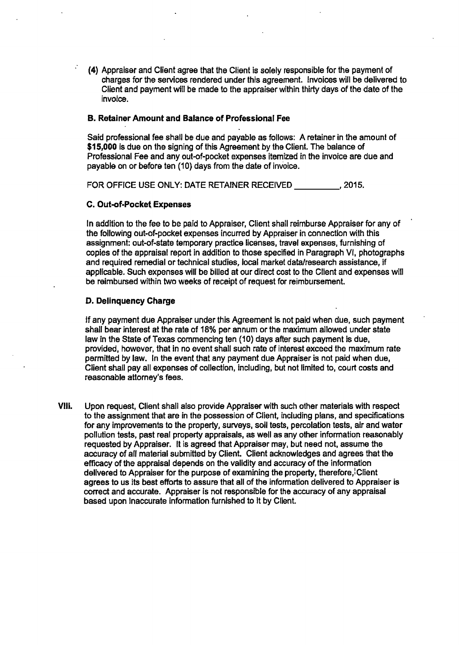4) Appraiser and Client agree that the Client is solely responsible for the payment of charges for the services rendered under this agreement. Invoices will be delivered to Client and payment will be made to the appraiser within thirty days of the date of the invoice.

#### B. Retainer Amount and Balance of Professional Fee

Said professional fee shall be due and payable as follows: A retainer in the amount of \$15,000 is due on the signing of this Agreement by the Client. The balance of Professional Fee and any out-of-pocket expenses itemized in the invoice are due and payable on or before ten ( 10) days from the date of invoice.

FOR OFFICE USE ONLY: DATE RETAINER RECEIVED 2015.

## C. Out-of-Pocket Expenses

In addition to the fee to be paid to Appraiser, Client shall reimburse Appraiser for any of the following out-of-pocket expenses incurred by Appraiser in connection with this assignment: out-of-state temporary practice licenses, travel expenses, furnishing of copies of the appraisal report in addition to those specified in Paragraph VI, photographs and required remedial or technical studies, local market datalresearch assistance, if applicable. Such expenses will be billed at our direct cost to the Client and expenses will be reimbursed within two weeks of receipt of request for reimbursement.

## D. Delinquency Charge

If any payment due Appraiser under this Agreement is not paid when due, such payment shall bear interest at the rate of 18% per annum or the maximum allowed under state law in the State of Texas commencing ten ( 10) days after such payment is due, provided, however, that in no event shall such rate of interest exceed the maximum rate permitted by law. In the event that any payment due Appraiser is not paid when due, Client shall pay all expenses of collection, including, but not limited to, court costs and reasonable attorney's fees.

Vlll. Upon request, Client shall also provide Appraiser with such other materials with respect to the assignment that are in the possession of Client, including plans, and specifications for any improvements to the property, surveys, soil tests, percolation tests, air and water pollution tests, past real property appraisals, as well as any other information reasonably requested by Appraiser. It is agreed that Appraiser may, but need not, assume the accuracy of all material submitted by Client. Client acknowledges and agrees that the efficacy of the appraisal depends on the validity and accuracy of the information delivered to Appraiser for the purpose of examining the property, therefore, Client agrees to us its best efforts to assure that all of the information delivered to Appraiser is correct and accurate. Appraiser is not responsible for the accuracy of any appraisal based upon inaccurate information furnished to it by Client.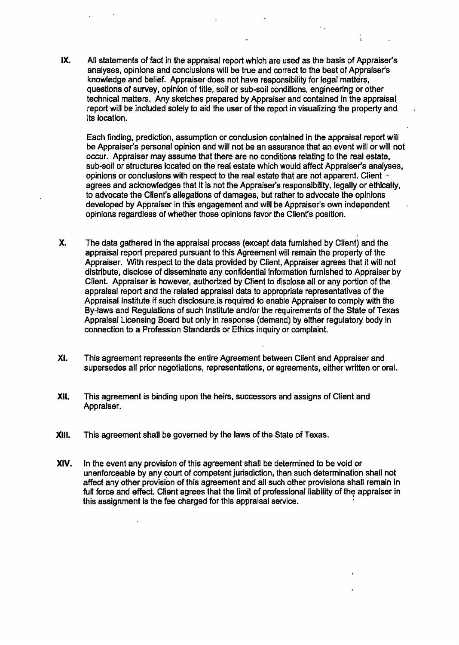IX. All statements of fact in the appraisal report which are used as the basis of Appraiser's analyses, opinions and conclusions will be true and correct to the best of Appraiser's knowledge and belief. Appraiser does not have responsibility for legal matters, questions of survey, opinion of title, soil or sub-soil conditions, engineering or other technical matters. Any sketches prepared by Appraiser and contained in the appraisal. report will be included solely to aid the user of the report in visualizing the property and its location.

Each finding, prediction, assumption or conclusion contained in the appraisal report will be Appraiser's personal opinion and will not be an assurance that an event will or will not occur. Appraiser may assume that there are no conditions relating to the real estate, sub- soil or structures located on the real estate which would affect Appraiser's analyses, opinions or conclusions with respect to the real estate that are not apparent. Client agrees and acknowledges that it is not the Appraiser's responsibility, legally or ethically, to advocate the Client's allegations of damages, but rather to advocate the opinions developed by Appraiser in this engagement and will be Appraiser's own independent opinions regardless of whether those opinions favor the Client's position.

- X. The data gathered in the appraisal process (except data furnished by Client) and the appraisal report prepared pursuant to this Agreement will remain the property of the Appraiser. With respect to the data provided by Client, Appraiser agrees that it will not distribute, disclose of disseminate any confidential information furnished to Appraiser by Client. Appraiser is however, authorized by Client to disclose all or any portion of the appraisal report and the related appraisal data to appropriate representatives of the Appraisal Institute if such disclosure.is required to enable Appraiser to comply with the By-laws and Regulations of such Institute and/or the requirements of the State of Texas Appraisal Licensing Board but only in response ( demand) by either regulatory body In connection to a Profession Standards or Ethics inquiry or complaint.
- Xi. This agreement represents the entire Agreement between Client and Appraiser and supersedes all prior negotiations, representations, or agreements, either written or oral.
- XII. This agreement is binding upon the heirs, successors and assigns of Client and Appraiser.
- XIII. This agreement shall be governed by the laws of the State of Texas.
- XIV. In the event any provision of this agreement shall be determined to be void or unenforceable by any court of competent jurisdiction, then such determination shall not affect any other provision of this agreement and all such other provisions shall remain in full force and effect. Client agrees that the limit of professional liability of the appraiser in this assignment is the fee charged for this appraisal service.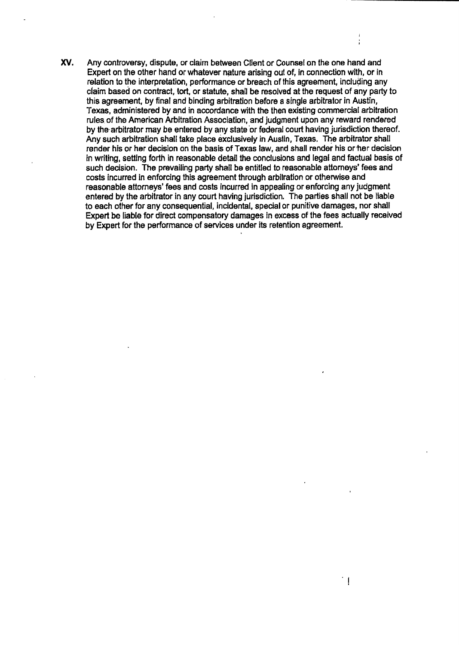XV. Any controversy, dispute, or claim between Client or Counsel on the one hand and Expert on the other hand or whatever nature arising out of, in connection with, or in relation to the interpretation, performance or breach of this agreement, including any claim based on contract, tort, or statute, shall be resolved at the request of any party to this agreement, by final and binding arbitration before a single arbitrator in Austin, Texas, administered by and in accordance with the then existing commercial arbitration rules.of the American Arbitration Association, and judgment upon any reward rendered by the-arbitrator may be entered by any state' or federal court having jurisdiction thereof. Any such arbitration shall take place exclusively in Austin, Texas. The arbitrator shall render his or her decision on the basis of Texas law, and shall render his or her decision in writing, setting forth in reasonable detail the conclusions and legal and factual basis of such decision. The prevailing party shall be entitled to reasonable attorneys' fees and costs incurred in enforcing this agreement through arbitration or otherwise and reasonable attorneys' fees and costs incurred in appealing or enforcing any judgment entered by the arbitrator in any court having jurisdiction. The parties shall not be liable to each other for any consequential, incidental, special or punitive damages, nor shall Expert be liable for direct compensatory damages in excess of the fees actually received by Expert for the performance of services under its retention agreement.

 $\bar{1}$